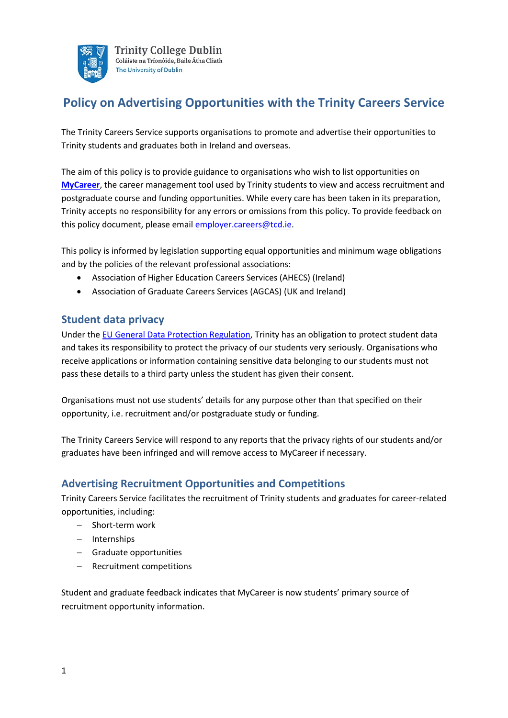

# **Policy on Advertising Opportunities with the Trinity Careers Service**

The Trinity Careers Service supports organisations to promote and advertise their opportunities to Trinity students and graduates both in Ireland and overseas.

The aim of this policy is to provide guidance to organisations who wish to list opportunities on **[MyCareer](https://www.tcd.ie/Careers/employers/advertise/mycareer.php)**, the career management tool used by Trinity students to view and access recruitment and postgraduate course and funding opportunities. While every care has been taken in its preparation, Trinity accepts no responsibility for any errors or omissions from this policy. To provide feedback on this policy document, please email [employer.careers@tcd.ie.](mailto:employer.careers@tcd.ie)

This policy is informed by legislation supporting equal opportunities and minimum wage obligations and by the policies of the relevant professional associations:

- Association of Higher Education Careers Services (AHECS) (Ireland)
- Association of Graduate Careers Services (AGCAS) (UK and Ireland)

# **Student data privacy**

Under the [EU General Data Protection Regulation,](https://eugdpr.org/) Trinity has an obligation to protect student data and takes its responsibility to protect the privacy of our students very seriously. Organisations who receive applications or information containing sensitive data belonging to our students must not pass these details to a third party unless the student has given their consent.

Organisations must not use students' details for any purpose other than that specified on their opportunity, i.e. recruitment and/or postgraduate study or funding.

The Trinity Careers Service will respond to any reports that the privacy rights of our students and/or graduates have been infringed and will remove access to MyCareer if necessary.

# **Advertising Recruitment Opportunities and Competitions**

Trinity Careers Service facilitates the recruitment of Trinity students and graduates for career-related opportunities, including:

- − Short-term work
- − Internships
- − Graduate opportunities
- − Recruitment competitions

Student and graduate feedback indicates that MyCareer is now students' primary source of recruitment opportunity information.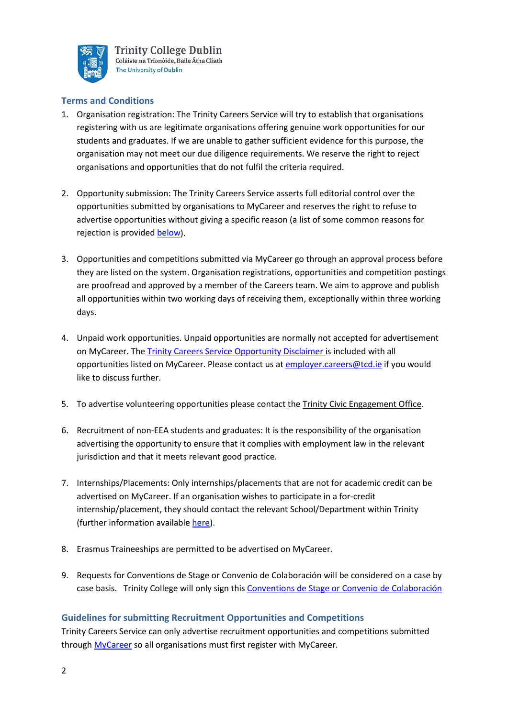

# **Terms and Conditions**

- 1. Organisation registration: The Trinity Careers Service will try to establish that organisations registering with us are legitimate organisations offering genuine work opportunities for our students and graduates. If we are unable to gather sufficient evidence for this purpose, the organisation may not meet our due diligence requirements. We reserve the right to reject organisations and opportunities that do not fulfil the criteria required.
- 2. Opportunity submission: The Trinity Careers Service asserts full editorial control over the opportunities submitted by organisations to MyCareer and reserves the right to refuse to advertise opportunities without giving a specific reason (a list of some common reasons for rejection is provided [below\)](http://www.tcd.ie/Careers/employers/policy_for_advertising_opportunities.php#vac-Rejecting).
- 3. Opportunities and competitions submitted via MyCareer go through an approval process before they are listed on the system. Organisation registrations, opportunities and competition postings are proofread and approved by a member of the Careers team. We aim to approve and publish all opportunities within two working days of receiving them, exceptionally within three working days.
- 4. Unpaid work opportunities. Unpaid opportunities are normally not accepted for advertisement on MyCareer. The Trinity Careers Service [Opportunity Disclaimer](http://www.tcd.ie/Careers/assets/pdf/student-pdf/students-opportunity-disclaimer.pdf) is included with all opportunities listed on MyCareer. Please contact us a[t employer.careers@tcd.ie](mailto:employer.careers@tcd.ie) if you would like to discuss further.
- 5. To advertise volunteering opportunities please contact the [Trinity Civic Engagement Office.](http://www.tcd.ie/Community/contact/)
- 6. Recruitment of non-EEA students and graduates: It is the responsibility of the organisation advertising the opportunity to ensure that it complies with employment law in the relevant jurisdiction and that it meets relevant good practice.
- 7. Internships/Placements: Only internships/placements that are not for academic credit can be advertised on MyCareer. If an organisation wishes to participate in a for-credit internship/placement, they should contact the relevant School/Department within Trinity (further information available [here\)](https://www.tcd.ie/Careers/employers/collaborate.php).
- 8. Erasmus Traineeships are permitted to be advertised on MyCareer.
- 9. Requests for Conventions de Stage or Convenio de Colaboración will be considered on a case by case basis. Trinity College will only sign thi[s Conventions de Stage or Convenio de Colaboración](https://www.tcd.ie/Careers/assets/pdf/student-pdf/Trinity%20Convention%20de%20Stage-Convenio%20de%20Colaboraci%C3%B3n%20Agreement.pdf)

# **Guidelines for submitting Recruitment Opportunities and Competitions**

Trinity Careers Service can only advertise recruitment opportunities and competitions submitted through [MyCareer](https://mycareerconnect.tcd.ie/) so all organisations must first register with MyCareer.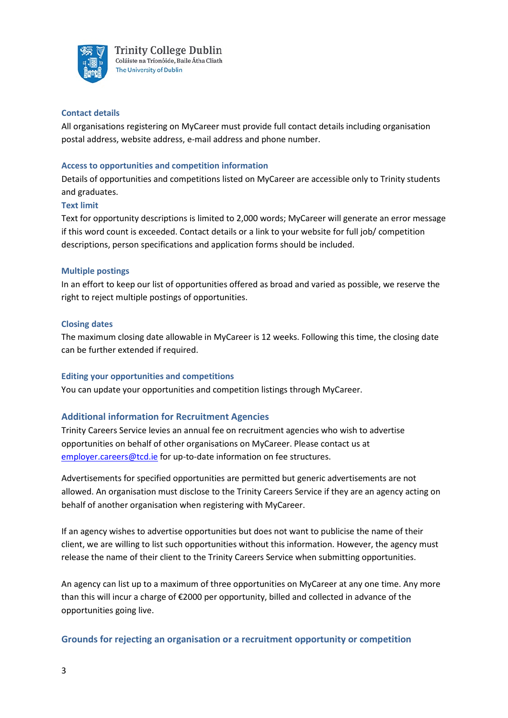

#### **Contact details**

All organisations registering on MyCareer must provide full contact details including organisation postal address, website address, e-mail address and phone number.

### **Access to opportunities and competition information**

Details of opportunities and competitions listed on MyCareer are accessible only to Trinity students and graduates.

### **Text limit**

Text for opportunity descriptions is limited to 2,000 words; MyCareer will generate an error message if this word count is exceeded. Contact details or a link to your website for full job/ competition descriptions, person specifications and application forms should be included.

### **Multiple postings**

In an effort to keep our list of opportunities offered as broad and varied as possible, we reserve the right to reject multiple postings of opportunities.

### **Closing dates**

The maximum closing date allowable in MyCareer is 12 weeks. Following this time, the closing date can be further extended if required.

#### **Editing your opportunities and competitions**

You can update your opportunities and competition listings through MyCareer.

# **Additional information for Recruitment Agencies**

Trinity Careers Service levies an annual fee on recruitment agencies who wish to advertise opportunities on behalf of other organisations on MyCareer. Please contact us at [employer.careers@tcd.ie](mailto:employer.careers@tcd.ie) for up-to-date information on fee structures.

Advertisements for specified opportunities are permitted but generic advertisements are not allowed. An organisation must disclose to the Trinity Careers Service if they are an agency acting on behalf of another organisation when registering with MyCareer.

If an agency wishes to advertise opportunities but does not want to publicise the name of their client, we are willing to list such opportunities without this information. However, the agency must release the name of their client to the Trinity Careers Service when submitting opportunities.

An agency can list up to a maximum of three opportunities on MyCareer at any one time. Any more than this will incur a charge of €2000 per opportunity, billed and collected in advance of the opportunities going live.

# **Grounds for rejecting an organisation or a recruitment opportunity or competition**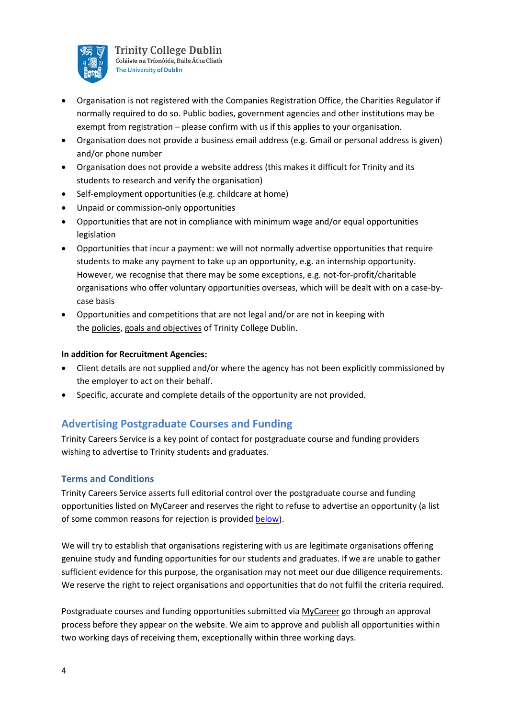

- Organisation is not registered with the Companies Registration Office, the Charities Regulator if normally required to do so. Public bodies, government agencies and other institutions may be exempt from registration – please confirm with us if this applies to your organisation.
- Organisation does not provide a business email address (e.g. Gmail or personal address is given) and/or phone number
- Organisation does not provide a website address (this makes it difficult for Trinity and its students to research and verify the organisation)
- Self-employment opportunities (e.g. childcare at home)
- Unpaid or commission-only opportunities
- Opportunities that are not in compliance with minimum wage and/or equal opportunities legislation
- Opportunities that incur a payment: we will not normally advertise opportunities that require students to make any payment to take up an opportunity, e.g. an internship opportunity. However, we recognise that there may be some exceptions, e.g. not-for-profit/charitable organisations who offer voluntary opportunities overseas, which will be dealt with on a case-bycase basis
- Opportunities and competitions that are not legal and/or are not in keeping with the [policies,](https://www.tcd.ie/about/policies/) [goals and objectives](https://www.tcd.ie/strategy/) of Trinity College Dublin.

# **In addition for Recruitment Agencies:**

- Client details are not supplied and/or where the agency has not been explicitly commissioned by the employer to act on their behalf.
- Specific, accurate and complete details of the opportunity are not provided.

# **Advertising Postgraduate Courses and Funding**

Trinity Careers Service is a key point of contact for postgraduate course and funding providers wishing to advertise to Trinity students and graduates.

# **Terms and Conditions**

Trinity Careers Service asserts full editorial control over the postgraduate course and funding opportunities listed on MyCareer and reserves the right to refuse to advertise an opportunity (a list of some common reasons for rejection is provided [below\)](http://www.tcd.ie/Careers/employers/policy_for_advertising_opportunities.php#pg-Rejecting).

We will try to establish that organisations registering with us are legitimate organisations offering genuine study and funding opportunities for our students and graduates. If we are unable to gather sufficient evidence for this purpose, the organisation may not meet our due diligence requirements. We reserve the right to reject organisations and opportunities that do not fulfil the criteria required.

Postgraduate courses and funding opportunities submitted via [MyCareer](https://mycareerconnect.tcd.ie/) go through an approval process before they appear on the website. We aim to approve and publish all opportunities within two working days of receiving them, exceptionally within three working days.